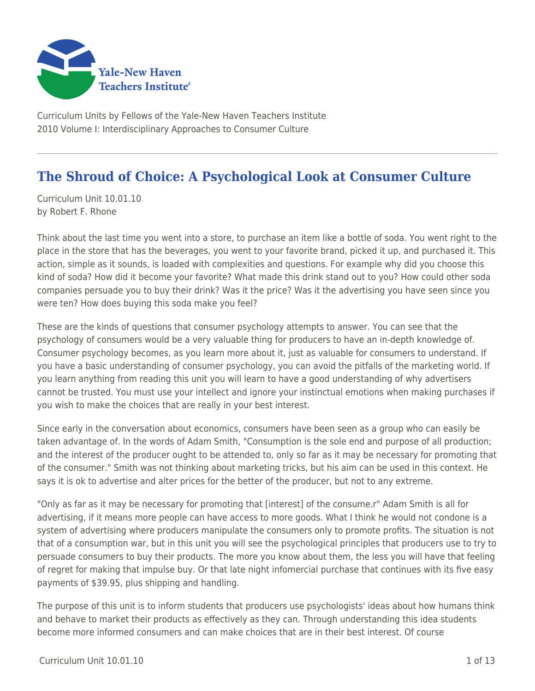

Curriculum Units by Fellows of the Yale-New Haven Teachers Institute 2010 Volume I: Interdisciplinary Approaches to Consumer Culture

# **The Shroud of Choice: A Psychological Look at Consumer Culture**

Curriculum Unit 10.01.10 by Robert F. Rhone

Think about the last time you went into a store, to purchase an item like a bottle of soda. You went right to the place in the store that has the beverages, you went to your favorite brand, picked it up, and purchased it. This action, simple as it sounds, is loaded with complexities and questions. For example why did you choose this kind of soda? How did it become your favorite? What made this drink stand out to you? How could other soda companies persuade you to buy their drink? Was it the price? Was it the advertising you have seen since you were ten? How does buying this soda make you feel?

These are the kinds of questions that consumer psychology attempts to answer. You can see that the psychology of consumers would be a very valuable thing for producers to have an in-depth knowledge of. Consumer psychology becomes, as you learn more about it, just as valuable for consumers to understand. If you have a basic understanding of consumer psychology, you can avoid the pitfalls of the marketing world. If you learn anything from reading this unit you will learn to have a good understanding of why advertisers cannot be trusted. You must use your intellect and ignore your instinctual emotions when making purchases if you wish to make the choices that are really in your best interest.

Since early in the conversation about economics, consumers have been seen as a group who can easily be taken advantage of. In the words of Adam Smith, "Consumption is the sole end and purpose of all production; and the interest of the producer ought to be attended to, only so far as it may be necessary for promoting that of the consumer." Smith was not thinking about marketing tricks, but his aim can be used in this context. He says it is ok to advertise and alter prices for the better of the producer, but not to any extreme.

"Only as far as it may be necessary for promoting that [interest] of the consume.r" Adam Smith is all for advertising, if it means more people can have access to more goods. What I think he would not condone is a system of advertising where producers manipulate the consumers only to promote profits. The situation is not that of a consumption war, but in this unit you will see the psychological principles that producers use to try to persuade consumers to buy their products. The more you know about them, the less you will have that feeling of regret for making that impulse buy. Or that late night infomercial purchase that continues with its five easy payments of \$39.95, plus shipping and handling.

The purpose of this unit is to inform students that producers use psychologists' ideas about how humans think and behave to market their products as effectively as they can. Through understanding this idea students become more informed consumers and can make choices that are in their best interest. Of course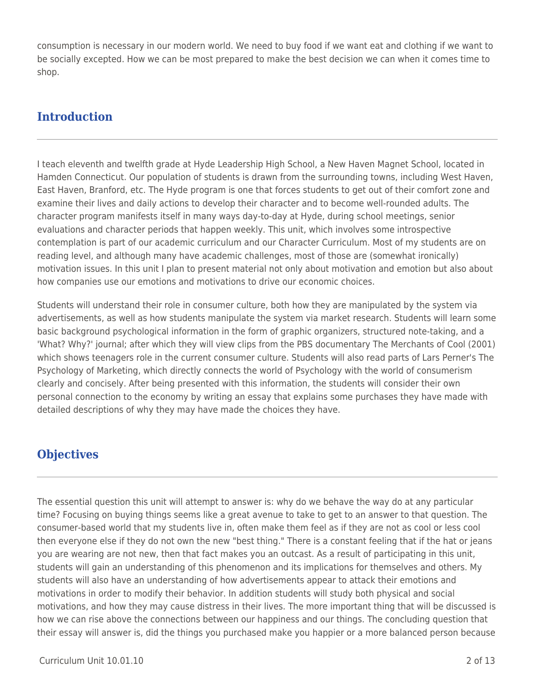consumption is necessary in our modern world. We need to buy food if we want eat and clothing if we want to be socially excepted. How we can be most prepared to make the best decision we can when it comes time to shop.

## **Introduction**

I teach eleventh and twelfth grade at Hyde Leadership High School, a New Haven Magnet School, located in Hamden Connecticut. Our population of students is drawn from the surrounding towns, including West Haven, East Haven, Branford, etc. The Hyde program is one that forces students to get out of their comfort zone and examine their lives and daily actions to develop their character and to become well-rounded adults. The character program manifests itself in many ways day-to-day at Hyde, during school meetings, senior evaluations and character periods that happen weekly. This unit, which involves some introspective contemplation is part of our academic curriculum and our Character Curriculum. Most of my students are on reading level, and although many have academic challenges, most of those are (somewhat ironically) motivation issues. In this unit I plan to present material not only about motivation and emotion but also about how companies use our emotions and motivations to drive our economic choices.

Students will understand their role in consumer culture, both how they are manipulated by the system via advertisements, as well as how students manipulate the system via market research. Students will learn some basic background psychological information in the form of graphic organizers, structured note-taking, and a 'What? Why?' journal; after which they will view clips from the PBS documentary The Merchants of Cool (2001) which shows teenagers role in the current consumer culture. Students will also read parts of Lars Perner's The Psychology of Marketing, which directly connects the world of Psychology with the world of consumerism clearly and concisely. After being presented with this information, the students will consider their own personal connection to the economy by writing an essay that explains some purchases they have made with detailed descriptions of why they may have made the choices they have.

## **Objectives**

The essential question this unit will attempt to answer is: why do we behave the way do at any particular time? Focusing on buying things seems like a great avenue to take to get to an answer to that question. The consumer-based world that my students live in, often make them feel as if they are not as cool or less cool then everyone else if they do not own the new "best thing." There is a constant feeling that if the hat or jeans you are wearing are not new, then that fact makes you an outcast. As a result of participating in this unit, students will gain an understanding of this phenomenon and its implications for themselves and others. My students will also have an understanding of how advertisements appear to attack their emotions and motivations in order to modify their behavior. In addition students will study both physical and social motivations, and how they may cause distress in their lives. The more important thing that will be discussed is how we can rise above the connections between our happiness and our things. The concluding question that their essay will answer is, did the things you purchased make you happier or a more balanced person because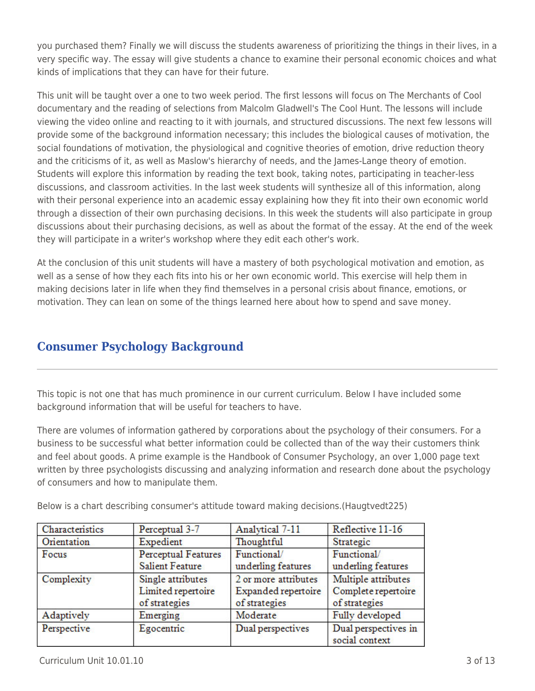you purchased them? Finally we will discuss the students awareness of prioritizing the things in their lives, in a very specific way. The essay will give students a chance to examine their personal economic choices and what kinds of implications that they can have for their future.

This unit will be taught over a one to two week period. The first lessons will focus on The Merchants of Cool documentary and the reading of selections from Malcolm Gladwell's The Cool Hunt. The lessons will include viewing the video online and reacting to it with journals, and structured discussions. The next few lessons will provide some of the background information necessary; this includes the biological causes of motivation, the social foundations of motivation, the physiological and cognitive theories of emotion, drive reduction theory and the criticisms of it, as well as Maslow's hierarchy of needs, and the James-Lange theory of emotion. Students will explore this information by reading the text book, taking notes, participating in teacher-less discussions, and classroom activities. In the last week students will synthesize all of this information, along with their personal experience into an academic essay explaining how they fit into their own economic world through a dissection of their own purchasing decisions. In this week the students will also participate in group discussions about their purchasing decisions, as well as about the format of the essay. At the end of the week they will participate in a writer's workshop where they edit each other's work.

At the conclusion of this unit students will have a mastery of both psychological motivation and emotion, as well as a sense of how they each fits into his or her own economic world. This exercise will help them in making decisions later in life when they find themselves in a personal crisis about finance, emotions, or motivation. They can lean on some of the things learned here about how to spend and save money.

## **Consumer Psychology Background**

This topic is not one that has much prominence in our current curriculum. Below I have included some background information that will be useful for teachers to have.

There are volumes of information gathered by corporations about the psychology of their consumers. For a business to be successful what better information could be collected than of the way their customers think and feel about goods. A prime example is the Handbook of Consumer Psychology, an over 1,000 page text written by three psychologists discussing and analyzing information and research done about the psychology of consumers and how to manipulate them.

| Characteristics | Perceptual 3-7             | Analytical 7-11      | Reflective 11-16     |
|-----------------|----------------------------|----------------------|----------------------|
| Orientation     | Expedient                  | Thoughtful           | Strategic            |
| Focus           | <b>Perceptual Features</b> | Functional/          | Functional/          |
|                 | <b>Salient Feature</b>     | underling features   | underling features   |
| Complexity      | Single attributes          | 2 or more attributes | Multiple attributes  |
|                 | Limited repertoire         | Expanded repertoire  | Complete repertoire  |
|                 | of strategies              | of strategies        | of strategies        |
| Adaptively      | Emerging                   | Moderate             | Fully developed      |
| Perspective     | Egocentric                 | Dual perspectives    | Dual perspectives in |
|                 |                            |                      | social context       |

Below is a chart describing consumer's attitude toward making decisions.(Haugtvedt225)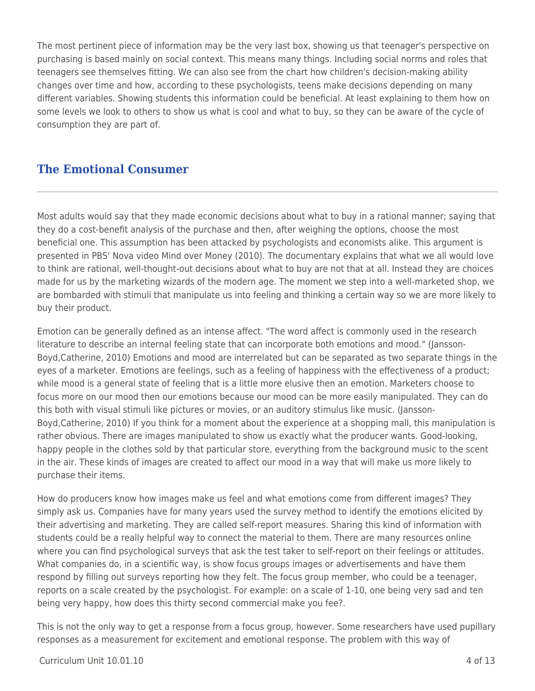The most pertinent piece of information may be the very last box, showing us that teenager's perspective on purchasing is based mainly on social context. This means many things. Including social norms and roles that teenagers see themselves fitting. We can also see from the chart how children's decision-making ability changes over time and how, according to these psychologists, teens make decisions depending on many different variables. Showing students this information could be beneficial. At least explaining to them how on some levels we look to others to show us what is cool and what to buy, so they can be aware of the cycle of consumption they are part of.

### **The Emotional Consumer**

Most adults would say that they made economic decisions about what to buy in a rational manner; saying that they do a cost-benefit analysis of the purchase and then, after weighing the options, choose the most beneficial one. This assumption has been attacked by psychologists and economists alike. This argument is presented in PBS' Nova video Mind over Money (2010). The documentary explains that what we all would love to think are rational, well-thought-out decisions about what to buy are not that at all. Instead they are choices made for us by the marketing wizards of the modern age. The moment we step into a well-marketed shop, we are bombarded with stimuli that manipulate us into feeling and thinking a certain way so we are more likely to buy their product.

Emotion can be generally defined as an intense affect. "The word affect is commonly used in the research literature to describe an internal feeling state that can incorporate both emotions and mood." (Jansson-Boyd,Catherine, 2010) Emotions and mood are interrelated but can be separated as two separate things in the eyes of a marketer. Emotions are feelings, such as a feeling of happiness with the effectiveness of a product; while mood is a general state of feeling that is a little more elusive then an emotion. Marketers choose to focus more on our mood then our emotions because our mood can be more easily manipulated. They can do this both with visual stimuli like pictures or movies, or an auditory stimulus like music. (Jansson-Boyd,Catherine, 2010) If you think for a moment about the experience at a shopping mall, this manipulation is rather obvious. There are images manipulated to show us exactly what the producer wants. Good-looking, happy people in the clothes sold by that particular store, everything from the background music to the scent in the air. These kinds of images are created to affect our mood in a way that will make us more likely to purchase their items.

How do producers know how images make us feel and what emotions come from different images? They simply ask us. Companies have for many years used the survey method to identify the emotions elicited by their advertising and marketing. They are called self-report measures. Sharing this kind of information with students could be a really helpful way to connect the material to them. There are many resources online where you can find psychological surveys that ask the test taker to self-report on their feelings or attitudes. What companies do, in a scientific way, is show focus groups images or advertisements and have them respond by filling out surveys reporting how they felt. The focus group member, who could be a teenager, reports on a scale created by the psychologist. For example: on a scale of 1-10, one being very sad and ten being very happy, how does this thirty second commercial make you fee?.

This is not the only way to get a response from a focus group, however. Some researchers have used pupillary responses as a measurement for excitement and emotional response. The problem with this way of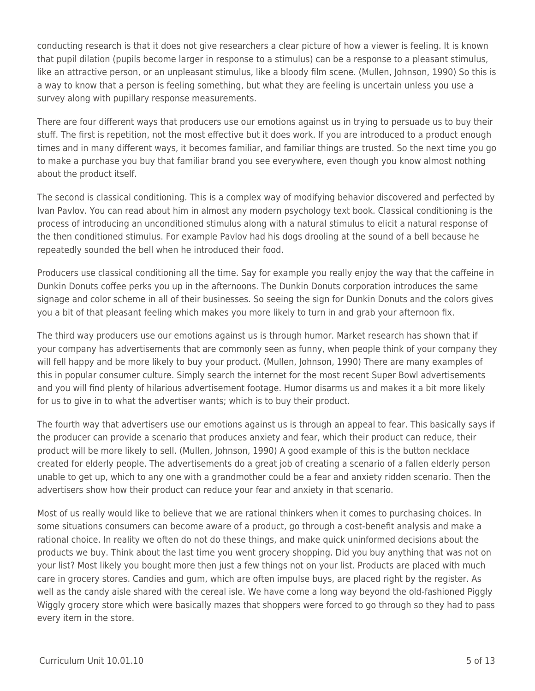conducting research is that it does not give researchers a clear picture of how a viewer is feeling. It is known that pupil dilation (pupils become larger in response to a stimulus) can be a response to a pleasant stimulus, like an attractive person, or an unpleasant stimulus, like a bloody film scene. (Mullen, Johnson, 1990) So this is a way to know that a person is feeling something, but what they are feeling is uncertain unless you use a survey along with pupillary response measurements.

There are four different ways that producers use our emotions against us in trying to persuade us to buy their stuff. The first is repetition, not the most effective but it does work. If you are introduced to a product enough times and in many different ways, it becomes familiar, and familiar things are trusted. So the next time you go to make a purchase you buy that familiar brand you see everywhere, even though you know almost nothing about the product itself.

The second is classical conditioning. This is a complex way of modifying behavior discovered and perfected by Ivan Pavlov. You can read about him in almost any modern psychology text book. Classical conditioning is the process of introducing an unconditioned stimulus along with a natural stimulus to elicit a natural response of the then conditioned stimulus. For example Pavlov had his dogs drooling at the sound of a bell because he repeatedly sounded the bell when he introduced their food.

Producers use classical conditioning all the time. Say for example you really enjoy the way that the caffeine in Dunkin Donuts coffee perks you up in the afternoons. The Dunkin Donuts corporation introduces the same signage and color scheme in all of their businesses. So seeing the sign for Dunkin Donuts and the colors gives you a bit of that pleasant feeling which makes you more likely to turn in and grab your afternoon fix.

The third way producers use our emotions against us is through humor. Market research has shown that if your company has advertisements that are commonly seen as funny, when people think of your company they will fell happy and be more likely to buy your product. (Mullen, Johnson, 1990) There are many examples of this in popular consumer culture. Simply search the internet for the most recent Super Bowl advertisements and you will find plenty of hilarious advertisement footage. Humor disarms us and makes it a bit more likely for us to give in to what the advertiser wants; which is to buy their product.

The fourth way that advertisers use our emotions against us is through an appeal to fear. This basically says if the producer can provide a scenario that produces anxiety and fear, which their product can reduce, their product will be more likely to sell. (Mullen, Johnson, 1990) A good example of this is the button necklace created for elderly people. The advertisements do a great job of creating a scenario of a fallen elderly person unable to get up, which to any one with a grandmother could be a fear and anxiety ridden scenario. Then the advertisers show how their product can reduce your fear and anxiety in that scenario.

Most of us really would like to believe that we are rational thinkers when it comes to purchasing choices. In some situations consumers can become aware of a product, go through a cost-benefit analysis and make a rational choice. In reality we often do not do these things, and make quick uninformed decisions about the products we buy. Think about the last time you went grocery shopping. Did you buy anything that was not on your list? Most likely you bought more then just a few things not on your list. Products are placed with much care in grocery stores. Candies and gum, which are often impulse buys, are placed right by the register. As well as the candy aisle shared with the cereal isle. We have come a long way beyond the old-fashioned Piggly Wiggly grocery store which were basically mazes that shoppers were forced to go through so they had to pass every item in the store.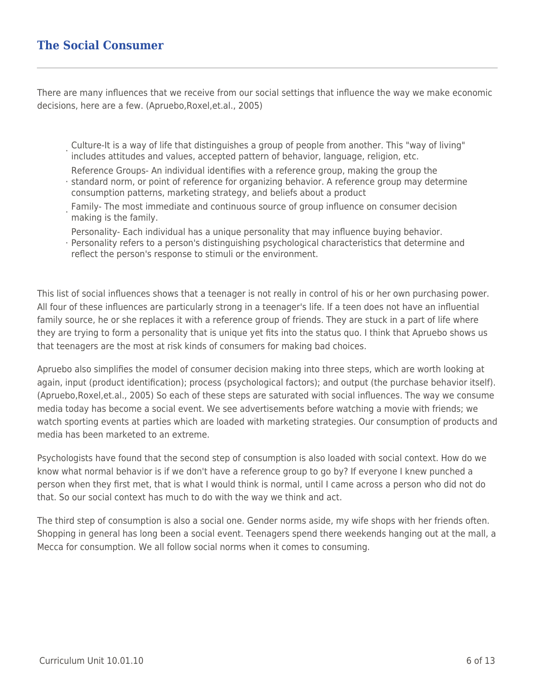### **The Social Consumer**

There are many influences that we receive from our social settings that influence the way we make economic decisions, here are a few. (Apruebo,Roxel,et.al., 2005)

- · Culture-It is a way of life that distinguishes a group of people from another. This "way of living" includes attitudes and values, accepted pattern of behavior, language, religion, etc.
- Reference Groups- An individual identifies with a reference group, making the group the
- · standard norm, or point of reference for organizing behavior. A reference group may determine consumption patterns, marketing strategy, and beliefs about a product
- · Family- The most immediate and continuous source of group influence on consumer decision making is the family.
- Personality- Each individual has a unique personality that may influence buying behavior.
- · Personality refers to a person's distinguishing psychological characteristics that determine and reflect the person's response to stimuli or the environment.

This list of social influences shows that a teenager is not really in control of his or her own purchasing power. All four of these influences are particularly strong in a teenager's life. If a teen does not have an influential family source, he or she replaces it with a reference group of friends. They are stuck in a part of life where they are trying to form a personality that is unique yet fits into the status quo. I think that Apruebo shows us that teenagers are the most at risk kinds of consumers for making bad choices.

Apruebo also simplifies the model of consumer decision making into three steps, which are worth looking at again, input (product identification); process (psychological factors); and output (the purchase behavior itself). (Apruebo,Roxel,et.al., 2005) So each of these steps are saturated with social influences. The way we consume media today has become a social event. We see advertisements before watching a movie with friends; we watch sporting events at parties which are loaded with marketing strategies. Our consumption of products and media has been marketed to an extreme.

Psychologists have found that the second step of consumption is also loaded with social context. How do we know what normal behavior is if we don't have a reference group to go by? If everyone I knew punched a person when they first met, that is what I would think is normal, until I came across a person who did not do that. So our social context has much to do with the way we think and act.

The third step of consumption is also a social one. Gender norms aside, my wife shops with her friends often. Shopping in general has long been a social event. Teenagers spend there weekends hanging out at the mall, a Mecca for consumption. We all follow social norms when it comes to consuming.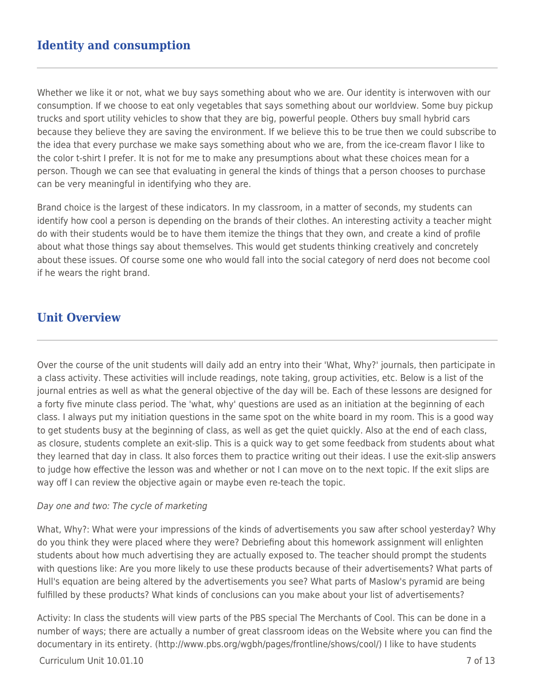## **Identity and consumption**

Whether we like it or not, what we buy says something about who we are. Our identity is interwoven with our consumption. If we choose to eat only vegetables that says something about our worldview. Some buy pickup trucks and sport utility vehicles to show that they are big, powerful people. Others buy small hybrid cars because they believe they are saving the environment. If we believe this to be true then we could subscribe to the idea that every purchase we make says something about who we are, from the ice-cream flavor I like to the color t-shirt I prefer. It is not for me to make any presumptions about what these choices mean for a person. Though we can see that evaluating in general the kinds of things that a person chooses to purchase can be very meaningful in identifying who they are.

Brand choice is the largest of these indicators. In my classroom, in a matter of seconds, my students can identify how cool a person is depending on the brands of their clothes. An interesting activity a teacher might do with their students would be to have them itemize the things that they own, and create a kind of profile about what those things say about themselves. This would get students thinking creatively and concretely about these issues. Of course some one who would fall into the social category of nerd does not become cool if he wears the right brand.

### **Unit Overview**

Over the course of the unit students will daily add an entry into their 'What, Why?' journals, then participate in a class activity. These activities will include readings, note taking, group activities, etc. Below is a list of the journal entries as well as what the general objective of the day will be. Each of these lessons are designed for a forty five minute class period. The 'what, why' questions are used as an initiation at the beginning of each class. I always put my initiation questions in the same spot on the white board in my room. This is a good way to get students busy at the beginning of class, as well as get the quiet quickly. Also at the end of each class, as closure, students complete an exit-slip. This is a quick way to get some feedback from students about what they learned that day in class. It also forces them to practice writing out their ideas. I use the exit-slip answers to judge how effective the lesson was and whether or not I can move on to the next topic. If the exit slips are way off I can review the objective again or maybe even re-teach the topic.

#### Day one and two: The cycle of marketing

What, Why?: What were your impressions of the kinds of advertisements you saw after school yesterday? Why do you think they were placed where they were? Debriefing about this homework assignment will enlighten students about how much advertising they are actually exposed to. The teacher should prompt the students with questions like: Are you more likely to use these products because of their advertisements? What parts of Hull's equation are being altered by the advertisements you see? What parts of Maslow's pyramid are being fulfilled by these products? What kinds of conclusions can you make about your list of advertisements?

Activity: In class the students will view parts of the PBS special The Merchants of Cool. This can be done in a number of ways; there are actually a number of great classroom ideas on the Website where you can find the documentary in its entirety. (http://www.pbs.org/wgbh/pages/frontline/shows/cool/) I like to have students

#### $C$ urriculum Unit  $10.01.10$   $7 \text{ of } 13$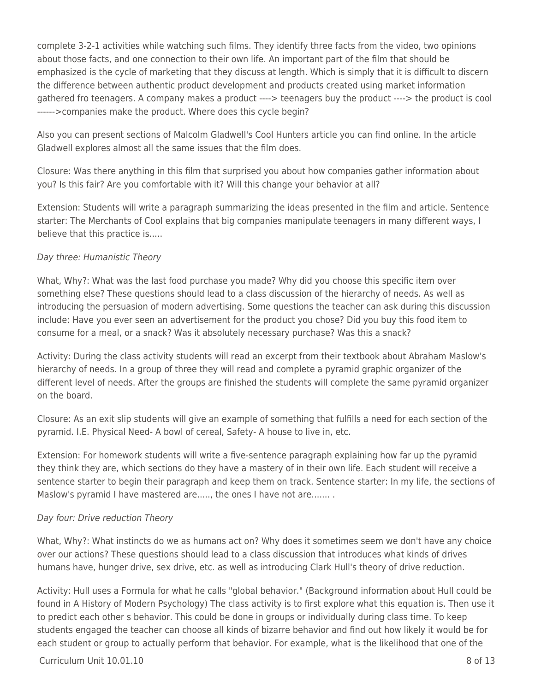complete 3-2-1 activities while watching such films. They identify three facts from the video, two opinions about those facts, and one connection to their own life. An important part of the film that should be emphasized is the cycle of marketing that they discuss at length. Which is simply that it is difficult to discern the difference between authentic product development and products created using market information gathered fro teenagers. A company makes a product ----> teenagers buy the product ----> the product is cool ------>companies make the product. Where does this cycle begin?

Also you can present sections of Malcolm Gladwell's Cool Hunters article you can find online. In the article Gladwell explores almost all the same issues that the film does.

Closure: Was there anything in this film that surprised you about how companies gather information about you? Is this fair? Are you comfortable with it? Will this change your behavior at all?

Extension: Students will write a paragraph summarizing the ideas presented in the film and article. Sentence starter: The Merchants of Cool explains that big companies manipulate teenagers in many different ways, I believe that this practice is.....

### Day three: Humanistic Theory

What, Why?: What was the last food purchase you made? Why did you choose this specific item over something else? These questions should lead to a class discussion of the hierarchy of needs. As well as introducing the persuasion of modern advertising. Some questions the teacher can ask during this discussion include: Have you ever seen an advertisement for the product you chose? Did you buy this food item to consume for a meal, or a snack? Was it absolutely necessary purchase? Was this a snack?

Activity: During the class activity students will read an excerpt from their textbook about Abraham Maslow's hierarchy of needs. In a group of three they will read and complete a pyramid graphic organizer of the different level of needs. After the groups are finished the students will complete the same pyramid organizer on the board.

Closure: As an exit slip students will give an example of something that fulfills a need for each section of the pyramid. I.E. Physical Need- A bowl of cereal, Safety- A house to live in, etc.

Extension: For homework students will write a five-sentence paragraph explaining how far up the pyramid they think they are, which sections do they have a mastery of in their own life. Each student will receive a sentence starter to begin their paragraph and keep them on track. Sentence starter: In my life, the sections of Maslow's pyramid I have mastered are....., the ones I have not are........

#### Day four: Drive reduction Theory

What, Why?: What instincts do we as humans act on? Why does it sometimes seem we don't have any choice over our actions? These questions should lead to a class discussion that introduces what kinds of drives humans have, hunger drive, sex drive, etc. as well as introducing Clark Hull's theory of drive reduction.

Activity: Hull uses a Formula for what he calls "global behavior." (Background information about Hull could be found in A History of Modern Psychology) The class activity is to first explore what this equation is. Then use it to predict each other s behavior. This could be done in groups or individually during class time. To keep students engaged the teacher can choose all kinds of bizarre behavior and find out how likely it would be for each student or group to actually perform that behavior. For example, what is the likelihood that one of the

### $Curriculum Unit 10.01.10$   $8 \text{ of } 13$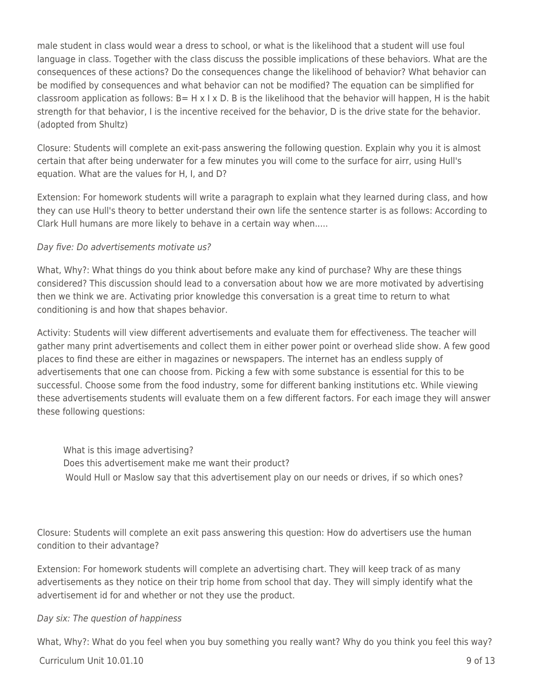male student in class would wear a dress to school, or what is the likelihood that a student will use foul language in class. Together with the class discuss the possible implications of these behaviors. What are the consequences of these actions? Do the consequences change the likelihood of behavior? What behavior can be modified by consequences and what behavior can not be modified? The equation can be simplified for classroom application as follows:  $B= H \times I \times D$ . B is the likelihood that the behavior will happen, H is the habit strength for that behavior, I is the incentive received for the behavior, D is the drive state for the behavior. (adopted from Shultz)

Closure: Students will complete an exit-pass answering the following question. Explain why you it is almost certain that after being underwater for a few minutes you will come to the surface for airr, using Hull's equation. What are the values for H, I, and D?

Extension: For homework students will write a paragraph to explain what they learned during class, and how they can use Hull's theory to better understand their own life the sentence starter is as follows: According to Clark Hull humans are more likely to behave in a certain way when.....

### Day five: Do advertisements motivate us?

What, Why?: What things do you think about before make any kind of purchase? Why are these things considered? This discussion should lead to a conversation about how we are more motivated by advertising then we think we are. Activating prior knowledge this conversation is a great time to return to what conditioning is and how that shapes behavior.

Activity: Students will view different advertisements and evaluate them for effectiveness. The teacher will gather many print advertisements and collect them in either power point or overhead slide show. A few good places to find these are either in magazines or newspapers. The internet has an endless supply of advertisements that one can choose from. Picking a few with some substance is essential for this to be successful. Choose some from the food industry, some for different banking institutions etc. While viewing these advertisements students will evaluate them on a few different factors. For each image they will answer these following questions:

What is this image advertising? Does this advertisement make me want their product? Would Hull or Maslow say that this advertisement play on our needs or drives, if so which ones?

Closure: Students will complete an exit pass answering this question: How do advertisers use the human condition to their advantage?

Extension: For homework students will complete an advertising chart. They will keep track of as many advertisements as they notice on their trip home from school that day. They will simply identify what the advertisement id for and whether or not they use the product.

### Day six: The question of happiness

What, Why?: What do you feel when you buy something you really want? Why do you think you feel this way?

 $Curriculum Unit 10.01.10$  9 of 13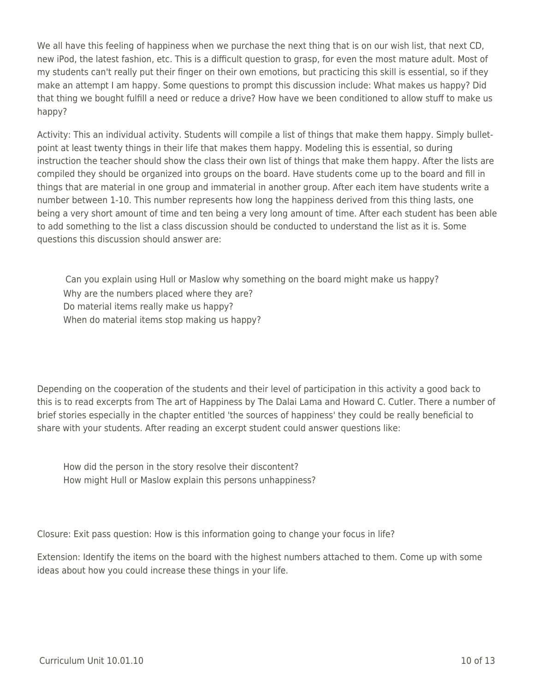We all have this feeling of happiness when we purchase the next thing that is on our wish list, that next CD, new iPod, the latest fashion, etc. This is a difficult question to grasp, for even the most mature adult. Most of my students can't really put their finger on their own emotions, but practicing this skill is essential, so if they make an attempt I am happy. Some questions to prompt this discussion include: What makes us happy? Did that thing we bought fulfill a need or reduce a drive? How have we been conditioned to allow stuff to make us happy?

Activity: This an individual activity. Students will compile a list of things that make them happy. Simply bulletpoint at least twenty things in their life that makes them happy. Modeling this is essential, so during instruction the teacher should show the class their own list of things that make them happy. After the lists are compiled they should be organized into groups on the board. Have students come up to the board and fill in things that are material in one group and immaterial in another group. After each item have students write a number between 1-10. This number represents how long the happiness derived from this thing lasts, one being a very short amount of time and ten being a very long amount of time. After each student has been able to add something to the list a class discussion should be conducted to understand the list as it is. Some questions this discussion should answer are:

Can you explain using Hull or Maslow why something on the board might make us happy? Why are the numbers placed where they are? Do material items really make us happy? When do material items stop making us happy?

Depending on the cooperation of the students and their level of participation in this activity a good back to this is to read excerpts from The art of Happiness by The Dalai Lama and Howard C. Cutler. There a number of brief stories especially in the chapter entitled 'the sources of happiness' they could be really beneficial to share with your students. After reading an excerpt student could answer questions like:

How did the person in the story resolve their discontent? How might Hull or Maslow explain this persons unhappiness?

Closure: Exit pass question: How is this information going to change your focus in life?

Extension: Identify the items on the board with the highest numbers attached to them. Come up with some ideas about how you could increase these things in your life.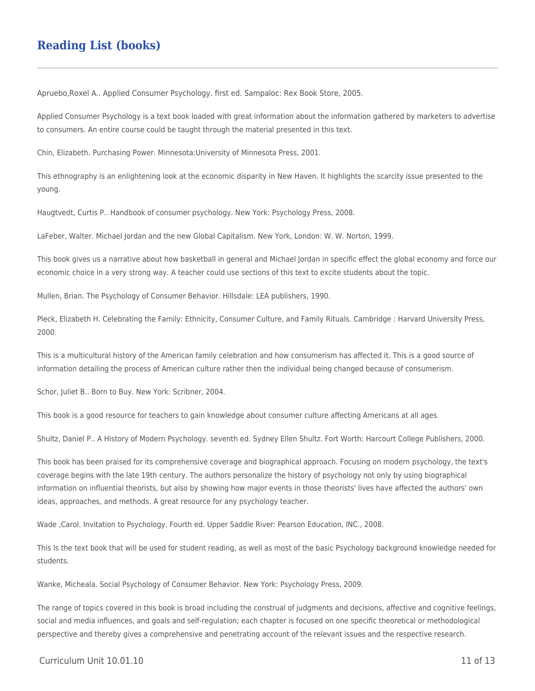### **Reading List (books)**

Apruebo,Roxel A.. Applied Consumer Psychology. first ed. Sampaloc: Rex Book Store, 2005.

Applied Consumer Psychology is a text book loaded with great information about the information gathered by marketers to advertise to consumers. An entire course could be taught through the material presented in this text.

Chin, Elizabeth. Purchasing Power. Minnesota:University of Minnesota Press, 2001.

This ethnography is an enlightening look at the economic disparity in New Haven. It highlights the scarcity issue presented to the young.

Haugtvedt, Curtis P.. Handbook of consumer psychology. New York: Psychology Press, 2008.

LaFeber, Walter. Michael Jordan and the new Global Capitalism. New York, London: W. W. Norton, 1999.

This book gives us a narrative about how basketball in general and Michael Jordan in specific effect the global economy and force our economic choice in a very strong way. A teacher could use sections of this text to excite students about the topic.

Mullen, Brian. The Psychology of Consumer Behavior. Hillsdale: LEA publishers, 1990.

Pleck, Elizabeth H. Celebrating the Family: Ethnicity, Consumer Culture, and Family Rituals. Cambridge : Harvard University Press, 2000.

This is a multicultural history of the American family celebration and how consumerism has affected it. This is a good source of information detailing the process of American culture rather then the individual being changed because of consumerism.

Schor, Juliet B.. Born to Buy. New York: Scribner, 2004.

This book is a good resource for teachers to gain knowledge about consumer culture affecting Americans at all ages.

Shultz, Daniel P.. A History of Modern Psychology. seventh ed. Sydney Ellen Shultz. Fort Worth: Harcourt College Publishers, 2000.

This book has been praised for its comprehensive coverage and biographical approach. Focusing on modern psychology, the text's coverage begins with the late 19th century. The authors personalize the history of psychology not only by using biographical information on influential theorists, but also by showing how major events in those theorists' lives have affected the authors' own ideas, approaches, and methods. A great resource for any psychology teacher.

Wade ,Carol. Invitation to Psychology. Fourth ed. Upper Saddle River: Pearson Education, INC., 2008.

This Is the text book that will be used for student reading, as well as most of the basic Psychology background knowledge needed for students.

Wanke, Micheala. Social Psychology of Consumer Behavior. New York: Psychology Press, 2009.

The range of topics covered in this book is broad including the construal of judgments and decisions, affective and cognitive feelings, social and media influences, and goals and self-regulation; each chapter is focused on one specific theoretical or methodological perspective and thereby gives a comprehensive and penetrating account of the relevant issues and the respective research.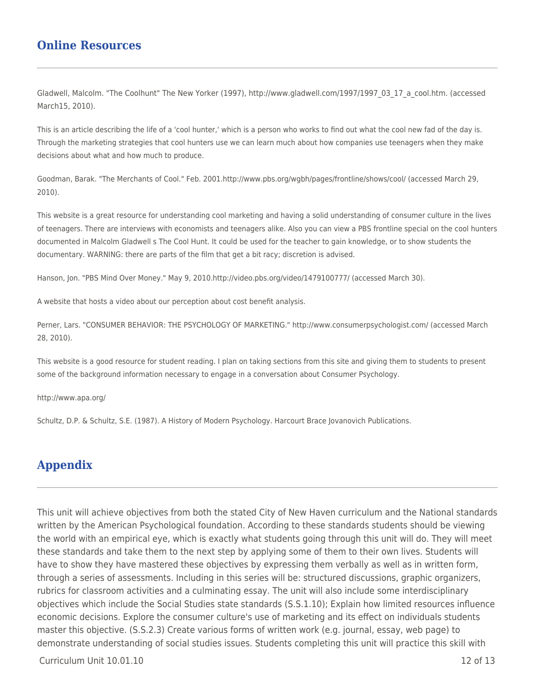### **Online Resources**

Gladwell, Malcolm. "The Coolhunt" The New Yorker (1997), http://www.gladwell.com/1997/1997\_03\_17\_a\_cool.htm. (accessed March15, 2010).

This is an article describing the life of a 'cool hunter,' which is a person who works to find out what the cool new fad of the day is. Through the marketing strategies that cool hunters use we can learn much about how companies use teenagers when they make decisions about what and how much to produce.

Goodman, Barak. "The Merchants of Cool." Feb. 2001.http://www.pbs.org/wgbh/pages/frontline/shows/cool/ (accessed March 29, 2010).

This website is a great resource for understanding cool marketing and having a solid understanding of consumer culture in the lives of teenagers. There are interviews with economists and teenagers alike. Also you can view a PBS frontline special on the cool hunters documented in Malcolm Gladwell s The Cool Hunt. It could be used for the teacher to gain knowledge, or to show students the documentary. WARNING: there are parts of the film that get a bit racy; discretion is advised.

Hanson, Jon. "PBS Mind Over Money." May 9, 2010.http://video.pbs.org/video/1479100777/ (accessed March 30).

A website that hosts a video about our perception about cost benefit analysis.

Perner, Lars. "CONSUMER BEHAVIOR: THE PSYCHOLOGY OF MARKETING." http://www.consumerpsychologist.com/ (accessed March 28, 2010).

This website is a good resource for student reading. I plan on taking sections from this site and giving them to students to present some of the background information necessary to engage in a conversation about Consumer Psychology.

http://www.apa.org/

Schultz, D.P. & Schultz, S.E. (1987). A History of Modern Psychology. Harcourt Brace Jovanovich Publications.

### **Appendix**

This unit will achieve objectives from both the stated City of New Haven curriculum and the National standards written by the American Psychological foundation. According to these standards students should be viewing the world with an empirical eye, which is exactly what students going through this unit will do. They will meet these standards and take them to the next step by applying some of them to their own lives. Students will have to show they have mastered these objectives by expressing them verbally as well as in written form, through a series of assessments. Including in this series will be: structured discussions, graphic organizers, rubrics for classroom activities and a culminating essay. The unit will also include some interdisciplinary objectives which include the Social Studies state standards (S.S.1.10); Explain how limited resources influence economic decisions. Explore the consumer culture's use of marketing and its effect on individuals students master this objective. (S.S.2.3) Create various forms of written work (e.g. journal, essay, web page) to demonstrate understanding of social studies issues. Students completing this unit will practice this skill with

 $C$ urriculum Unit  $10.01.10$